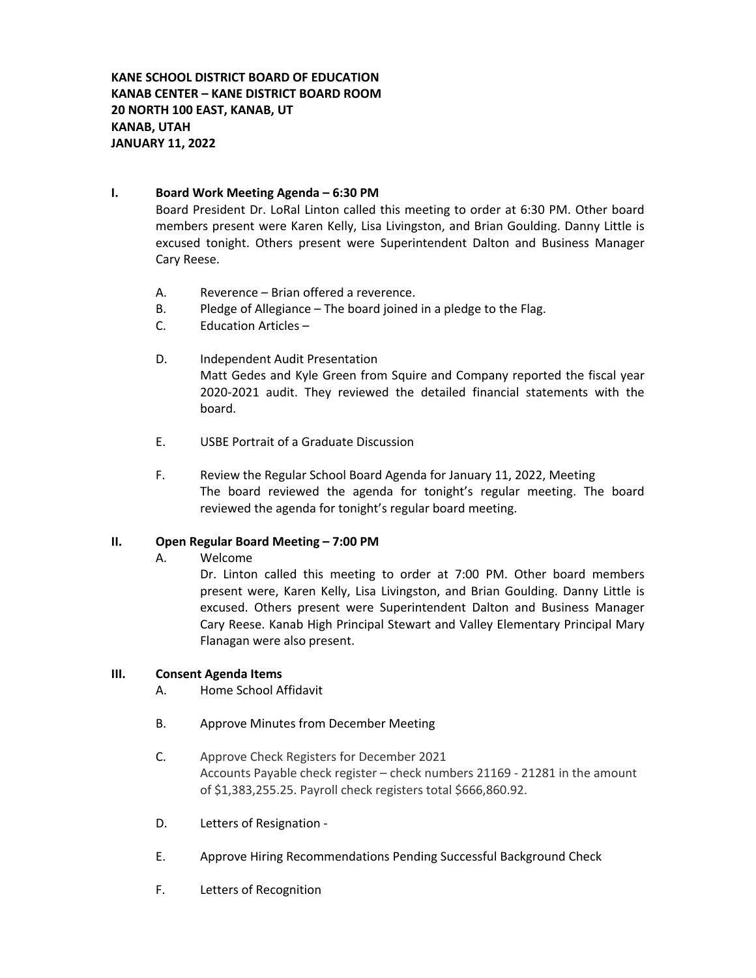**KANE SCHOOL DISTRICT BOARD OF EDUCATION KANAB CENTER – KANE DISTRICT BOARD ROOM 20 NORTH 100 EAST, KANAB, UT KANAB, UTAH JANUARY 11, 2022**

## **I. Board Work Meeting Agenda – 6:30 PM**

Board President Dr. LoRal Linton called this meeting to order at 6:30 PM. Other board members present were Karen Kelly, Lisa Livingston, and Brian Goulding. Danny Little is excused tonight. Others present were Superintendent Dalton and Business Manager Cary Reese.

- A. Reverence Brian offered a reverence.
- B. Pledge of Allegiance The board joined in a pledge to the Flag.
- C. Education Articles –
- D. Independent Audit Presentation Matt Gedes and Kyle Green from Squire and Company reported the fiscal year 2020-2021 audit. They reviewed the detailed financial statements with the board.
- E. USBE Portrait of a Graduate Discussion
- F. Review the Regular School Board Agenda for January 11, 2022, Meeting The board reviewed the agenda for tonight's regular meeting. The board reviewed the agenda for tonight's regular board meeting.

## **II. Open Regular Board Meeting – 7:00 PM**

A. Welcome

Dr. Linton called this meeting to order at 7:00 PM. Other board members present were, Karen Kelly, Lisa Livingston, and Brian Goulding. Danny Little is excused. Others present were Superintendent Dalton and Business Manager Cary Reese. Kanab High Principal Stewart and Valley Elementary Principal Mary Flanagan were also present.

## **III. Consent Agenda Items**

- A. Home School Affidavit
- B. Approve Minutes from December Meeting
- C. Approve Check Registers for December 2021 Accounts Payable check register – check numbers 21169 - 21281 in the amount of \$1,383,255.25. Payroll check registers total \$666,860.92.
- D. Letters of Resignation -
- E. Approve Hiring Recommendations Pending Successful Background Check
- F. Letters of Recognition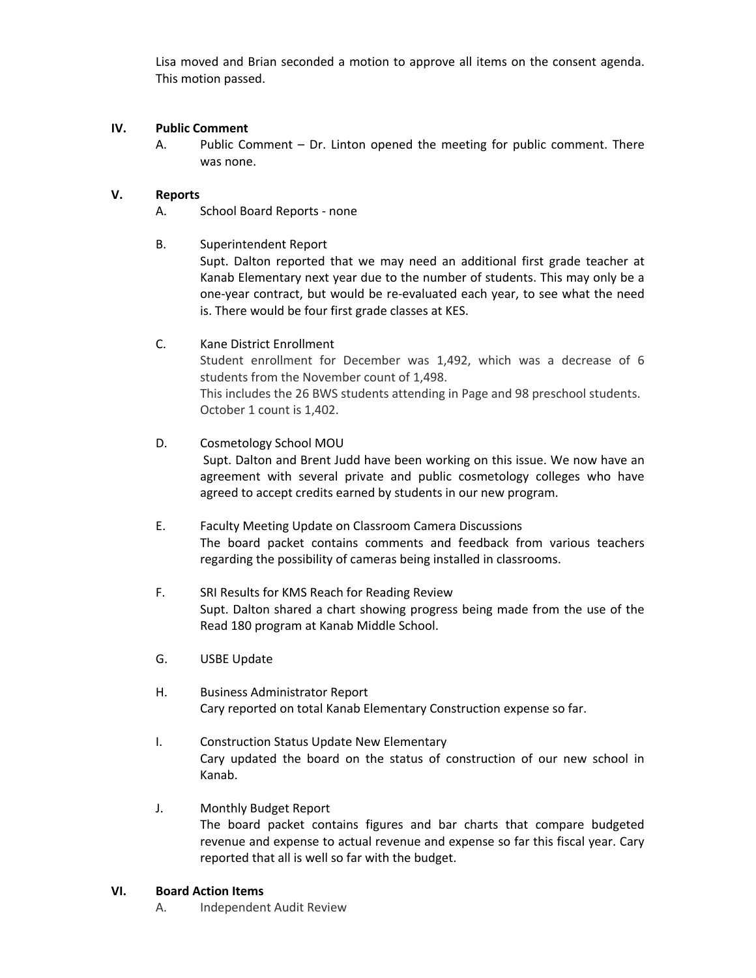Lisa moved and Brian seconded a motion to approve all items on the consent agenda. This motion passed.

## **IV. Public Comment**

A. Public Comment – Dr. Linton opened the meeting for public comment. There was none.

## **V. Reports**

A. School Board Reports - none

## B. Superintendent Report

Supt. Dalton reported that we may need an additional first grade teacher at Kanab Elementary next year due to the number of students. This may only be a one-year contract, but would be re-evaluated each year, to see what the need is. There would be four first grade classes at KES.

## C. Kane District Enrollment

Student enrollment for December was 1,492, which was a decrease of 6 students from the November count of 1,498.

This includes the 26 BWS students attending in Page and 98 preschool students. October 1 count is 1,402.

## D. Cosmetology School MOU

Supt. Dalton and Brent Judd have been working on this issue. We now have an agreement with several private and public cosmetology colleges who have agreed to accept credits earned by students in our new program.

- E. Faculty Meeting Update on Classroom Camera Discussions The board packet contains comments and feedback from various teachers regarding the possibility of cameras being installed in classrooms.
- F. SRI Results for KMS Reach for Reading Review Supt. Dalton shared a chart showing progress being made from the use of the Read 180 program at Kanab Middle School.
- G. USBE Update
- H. Business Administrator Report Cary reported on total Kanab Elementary Construction expense so far.
- I. Construction Status Update New Elementary Cary updated the board on the status of construction of our new school in Kanab.

## J. Monthly Budget Report

The board packet contains figures and bar charts that compare budgeted revenue and expense to actual revenue and expense so far this fiscal year. Cary reported that all is well so far with the budget.

## **VI. Board Action Items**

A. Independent Audit Review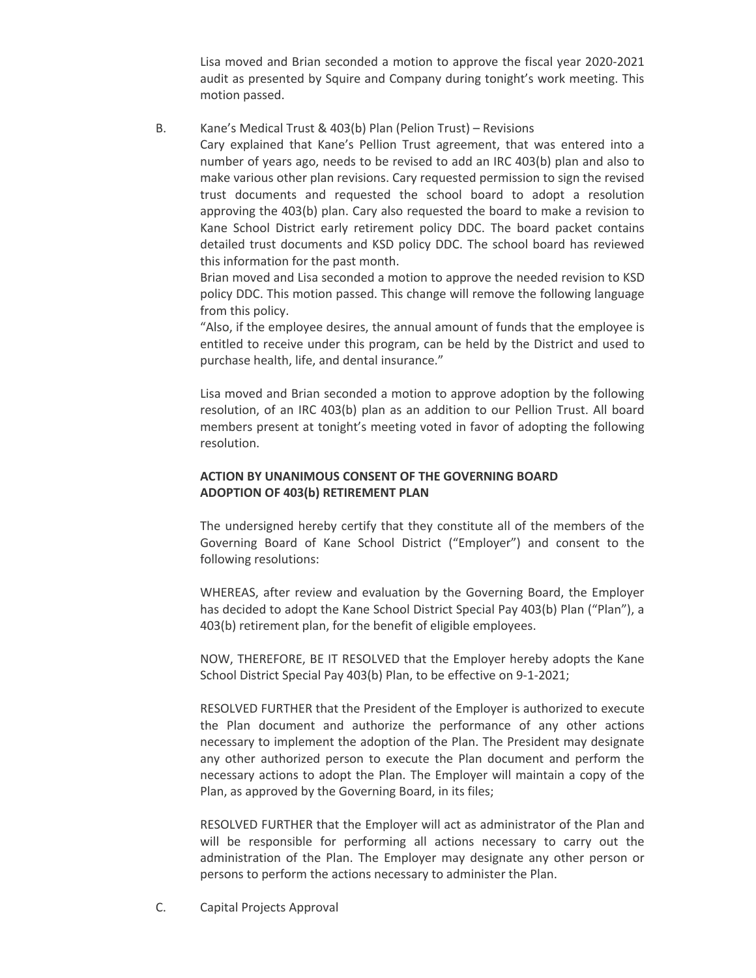Lisa moved and Brian seconded a motion to approve the fiscal year 2020-2021 audit as presented by Squire and Company during tonight's work meeting. This motion passed.

B. Kane's Medical Trust & 403(b) Plan (Pelion Trust) – Revisions

Cary explained that Kane's Pellion Trust agreement, that was entered into a number of years ago, needs to be revised to add an IRC 403(b) plan and also to make various other plan revisions. Cary requested permission to sign the revised trust documents and requested the school board to adopt a resolution approving the 403(b) plan. Cary also requested the board to make a revision to Kane School District early retirement policy DDC. The board packet contains detailed trust documents and KSD policy DDC. The school board has reviewed this information for the past month.

Brian moved and Lisa seconded a motion to approve the needed revision to KSD policy DDC. This motion passed. This change will remove the following language from this policy.

"Also, if the employee desires, the annual amount of funds that the employee is entitled to receive under this program, can be held by the District and used to purchase health, life, and dental insurance."

Lisa moved and Brian seconded a motion to approve adoption by the following resolution, of an IRC 403(b) plan as an addition to our Pellion Trust. All board members present at tonight's meeting voted in favor of adopting the following resolution.

# **ACTION BY UNANIMOUS CONSENT OF THE GOVERNING BOARD ADOPTION OF 403(b) RETIREMENT PLAN**

The undersigned hereby certify that they constitute all of the members of the Governing Board of Kane School District ("Employer") and consent to the following resolutions:

WHEREAS, after review and evaluation by the Governing Board, the Employer has decided to adopt the Kane School District Special Pay 403(b) Plan ("Plan"), a 403(b) retirement plan, for the benefit of eligible employees.

NOW, THEREFORE, BE IT RESOLVED that the Employer hereby adopts the Kane School District Special Pay 403(b) Plan, to be effective on 9-1-2021;

RESOLVED FURTHER that the President of the Employer is authorized to execute the Plan document and authorize the performance of any other actions necessary to implement the adoption of the Plan. The President may designate any other authorized person to execute the Plan document and perform the necessary actions to adopt the Plan. The Employer will maintain a copy of the Plan, as approved by the Governing Board, in its files;

RESOLVED FURTHER that the Employer will act as administrator of the Plan and will be responsible for performing all actions necessary to carry out the administration of the Plan. The Employer may designate any other person or persons to perform the actions necessary to administer the Plan.

C. Capital Projects Approval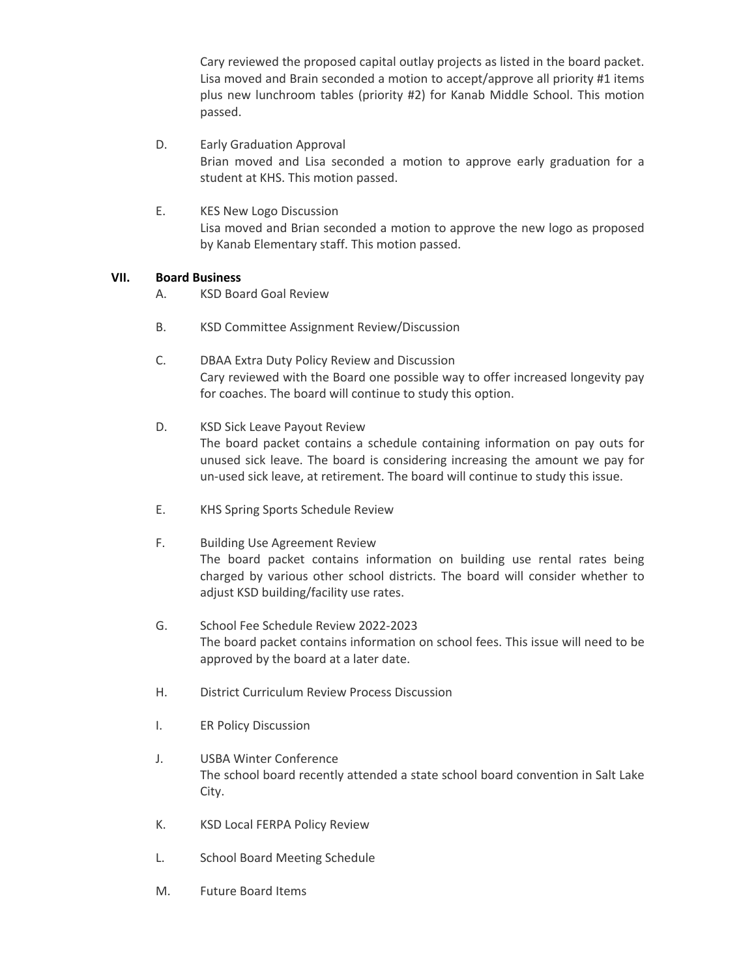Cary reviewed the proposed capital outlay projects as listed in the board packet. Lisa moved and Brain seconded a motion to accept/approve all priority #1 items plus new lunchroom tables (priority #2) for Kanab Middle School. This motion passed.

- D. Early Graduation Approval Brian moved and Lisa seconded a motion to approve early graduation for a student at KHS. This motion passed.
- E. KES New Logo Discussion Lisa moved and Brian seconded a motion to approve the new logo as proposed by Kanab Elementary staff. This motion passed.

## **VII. Board Business**

- A. KSD Board Goal Review
- B. KSD Committee Assignment Review/Discussion
- C. DBAA Extra Duty Policy Review and Discussion Cary reviewed with the Board one possible way to offer increased longevity pay for coaches. The board will continue to study this option.
- D. KSD Sick Leave Payout Review The board packet contains a schedule containing information on pay outs for unused sick leave. The board is considering increasing the amount we pay for un-used sick leave, at retirement. The board will continue to study this issue.
- E. KHS Spring Sports Schedule Review
- F. Building Use Agreement Review The board packet contains information on building use rental rates being charged by various other school districts. The board will consider whether to adjust KSD building/facility use rates.
- G. School Fee Schedule Review 2022-2023 The board packet contains information on school fees. This issue will need to be approved by the board at a later date.
- H. District Curriculum Review Process Discussion
- I. ER Policy Discussion
- J. USBA Winter Conference The school board recently attended a state school board convention in Salt Lake City.
- K. KSD Local FERPA Policy Review
- L. School Board Meeting Schedule
- M. Future Board Items